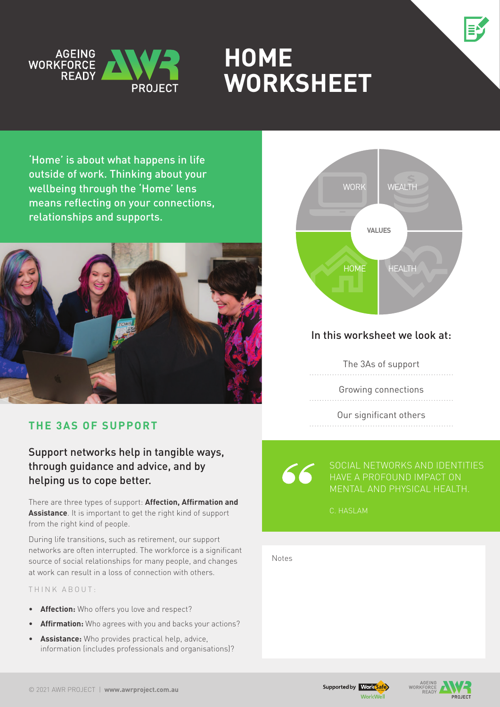



# **HOME Worksheet**

'Home' is about what happens in life outside of work. Thinking about your wellbeing through the 'Home' lens means reflecting on your connections, relationships and supports.



## **The 3As of support**

Support networks help in tangible ways, through guidance and advice, and by helping us to cope better.

There are three types of support: **Affection, Affirmation and Assistance**. It is important to get the right kind of support from the right kind of people.

During life transitions, such as retirement, our support networks are often interrupted. The workforce is a significant source of social relationships for many people, and changes at work can result in a loss of connection with others.

#### THINK ABOUT:

- • **Affection:** Who offers you love and respect?
- **Affirmation:** Who agrees with you and backs your actions?
- • **Assistance:** Who provides practical help, advice, information (includes professionals and organisations)?



## In this worksheet we look at:

The 3As of support

Growing connections

Our significant others 

Social networks and identities have a profound impact on

C. Haslam

Notes





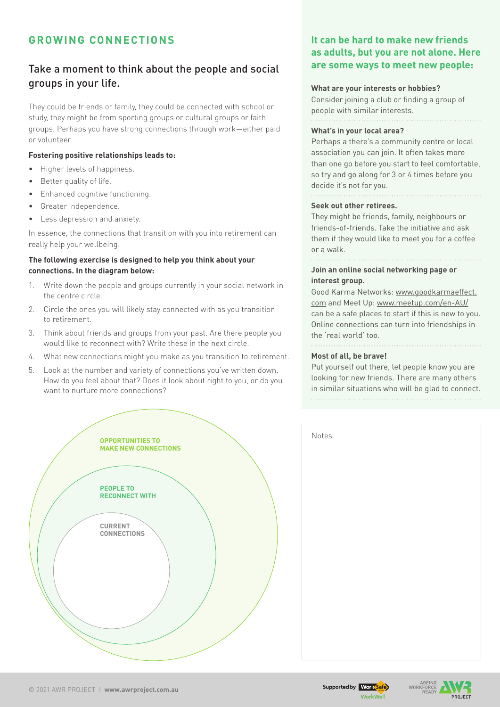## **Growing connections**

## Take a moment to think about the people and social groups in your life.

They could be friends or family, they could be connected with school or study, they might be from sporting groups or cultural groups or faith groups. Perhaps you have strong connections through work—either paid or volunteer.

#### **Fostering positive relationships leads to:**

- Higher levels of happiness.
- Better quality of life.
- **Enhanced cognitive functioning.**
- • Greater independence.
- • Less depression and anxiety.

In essence, the connections that transition with you into retirement can really help your wellbeing.

#### **The following exercise is designed to help you think about your connections. In the diagram below:**

- 1. Write down the people and groups currently in your social network in the centre circle.
- 2. Circle the ones you will likely stay connected with as you transition to retirement.
- 3. Think about friends and groups from your past. Are there people you would like to reconnect with? Write these in the next circle.
- 4. What new connections might you make as you transition to retirement.
- 5. Look at the number and variety of connections you've written down. How do you feel about that? Does it look about right to you, or do you want to nurture more connections?



### **It can be hard to make new friends as adults, but you are not alone. Here are some ways to meet new people:**

#### **What are your interests or hobbies?**

Consider joining a club or finding a group of people with similar interests. 

#### **What's in your local area?**

Perhaps a there's a community centre or local association you can join. It often takes more than one go before you start to feel comfortable, so try and go along for 3 or 4 times before you decide it's not for you.

#### **Seek out other retirees.**

They might be friends, family, neighbours or friends-of-friends. Take the initiative and ask them if they would like to meet you for a coffee or a walk.

. . . . . . . . . . . . . .

#### **Join an online social networking page or interest group.**

Good Karma Networks: [www.goodkarmaeffect.](https://www.goodkarmaeffect.com) [com](https://www.goodkarmaeffect.com) and Meet Up: [www.meetup.com/en-AU/](https://www.meetup.com/en-AU/) can be a safe places to start if this is new to you. Online connections can turn into friendships in the 'real world' too. 

#### **Most of all, be brave!**

Put yourself out there, let people know you are looking for new friends. There are many others in similar situations who will be glad to connect.

| Notes |  |  |
|-------|--|--|
|       |  |  |
|       |  |  |
|       |  |  |
|       |  |  |
|       |  |  |
|       |  |  |
|       |  |  |
|       |  |  |